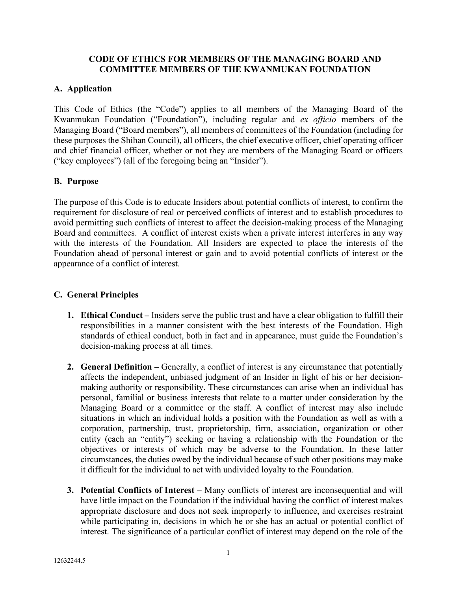### **CODE OF ETHICS FOR MEMBERS OF THE MANAGING BOARD AND COMMITTEE MEMBERS OF THE KWANMUKAN FOUNDATION**

### **A. Application**

This Code of Ethics (the "Code") applies to all members of the Managing Board of the Kwanmukan Foundation ("Foundation"), including regular and *ex officio* members of the Managing Board ("Board members"), all members of committees of the Foundation (including for these purposes the Shihan Council), all officers, the chief executive officer, chief operating officer and chief financial officer, whether or not they are members of the Managing Board or officers ("key employees") (all of the foregoing being an "Insider").

### **B. Purpose**

The purpose of this Code is to educate Insiders about potential conflicts of interest, to confirm the requirement for disclosure of real or perceived conflicts of interest and to establish procedures to avoid permitting such conflicts of interest to affect the decision-making process of the Managing Board and committees. A conflict of interest exists when a private interest interferes in any way with the interests of the Foundation. All Insiders are expected to place the interests of the Foundation ahead of personal interest or gain and to avoid potential conflicts of interest or the appearance of a conflict of interest.

### **C. General Principles**

- **1. Ethical Conduct –** Insiders serve the public trust and have a clear obligation to fulfill their responsibilities in a manner consistent with the best interests of the Foundation. High standards of ethical conduct, both in fact and in appearance, must guide the Foundation's decision-making process at all times.
- **2. General Definition** Generally, a conflict of interest is any circumstance that potentially affects the independent, unbiased judgment of an Insider in light of his or her decisionmaking authority or responsibility. These circumstances can arise when an individual has personal, familial or business interests that relate to a matter under consideration by the Managing Board or a committee or the staff. A conflict of interest may also include situations in which an individual holds a position with the Foundation as well as with a corporation, partnership, trust, proprietorship, firm, association, organization or other entity (each an "entity") seeking or having a relationship with the Foundation or the objectives or interests of which may be adverse to the Foundation. In these latter circumstances, the duties owed by the individual because of such other positions may make it difficult for the individual to act with undivided loyalty to the Foundation.
- **3. Potential Conflicts of Interest** Many conflicts of interest are inconsequential and will have little impact on the Foundation if the individual having the conflict of interest makes appropriate disclosure and does not seek improperly to influence, and exercises restraint while participating in, decisions in which he or she has an actual or potential conflict of interest. The significance of a particular conflict of interest may depend on the role of the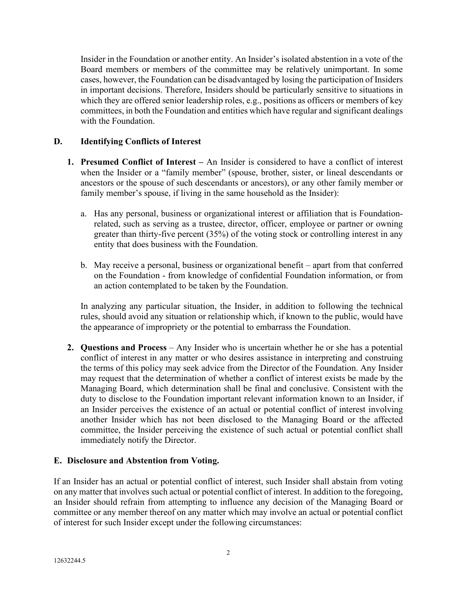Insider in the Foundation or another entity. An Insider's isolated abstention in a vote of the Board members or members of the committee may be relatively unimportant. In some cases, however, the Foundation can be disadvantaged by losing the participation of Insiders in important decisions. Therefore, Insiders should be particularly sensitive to situations in which they are offered senior leadership roles, e.g., positions as officers or members of key committees, in both the Foundation and entities which have regular and significant dealings with the Foundation.

# **D. Identifying Conflicts of Interest**

- **1. Presumed Conflict of Interest –** An Insider is considered to have a conflict of interest when the Insider or a "family member" (spouse, brother, sister, or lineal descendants or ancestors or the spouse of such descendants or ancestors), or any other family member or family member's spouse, if living in the same household as the Insider):
	- a. Has any personal, business or organizational interest or affiliation that is Foundationrelated, such as serving as a trustee, director, officer, employee or partner or owning greater than thirty-five percent (35%) of the voting stock or controlling interest in any entity that does business with the Foundation.
	- b. May receive a personal, business or organizational benefit apart from that conferred on the Foundation - from knowledge of confidential Foundation information, or from an action contemplated to be taken by the Foundation.

In analyzing any particular situation, the Insider, in addition to following the technical rules, should avoid any situation or relationship which, if known to the public, would have the appearance of impropriety or the potential to embarrass the Foundation.

**2. Questions and Process** – Any Insider who is uncertain whether he or she has a potential conflict of interest in any matter or who desires assistance in interpreting and construing the terms of this policy may seek advice from the Director of the Foundation. Any Insider may request that the determination of whether a conflict of interest exists be made by the Managing Board, which determination shall be final and conclusive. Consistent with the duty to disclose to the Foundation important relevant information known to an Insider, if an Insider perceives the existence of an actual or potential conflict of interest involving another Insider which has not been disclosed to the Managing Board or the affected committee, the Insider perceiving the existence of such actual or potential conflict shall immediately notify the Director.

# **E. Disclosure and Abstention from Voting.**

If an Insider has an actual or potential conflict of interest, such Insider shall abstain from voting on any matter that involves such actual or potential conflict of interest. In addition to the foregoing, an Insider should refrain from attempting to influence any decision of the Managing Board or committee or any member thereof on any matter which may involve an actual or potential conflict of interest for such Insider except under the following circumstances: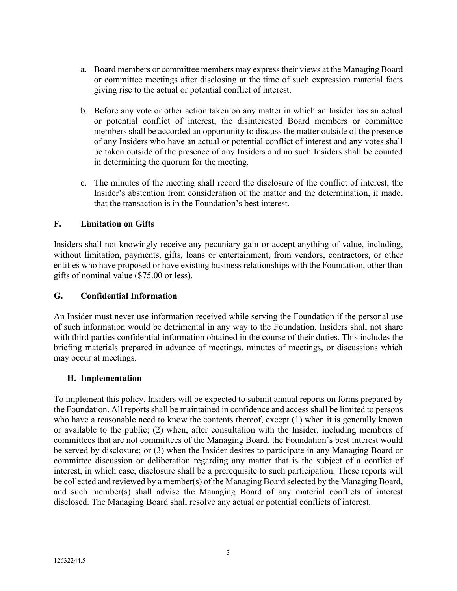- a. Board members or committee members may express their views at the Managing Board or committee meetings after disclosing at the time of such expression material facts giving rise to the actual or potential conflict of interest.
- b. Before any vote or other action taken on any matter in which an Insider has an actual or potential conflict of interest, the disinterested Board members or committee members shall be accorded an opportunity to discuss the matter outside of the presence of any Insiders who have an actual or potential conflict of interest and any votes shall be taken outside of the presence of any Insiders and no such Insiders shall be counted in determining the quorum for the meeting.
- c. The minutes of the meeting shall record the disclosure of the conflict of interest, the Insider's abstention from consideration of the matter and the determination, if made, that the transaction is in the Foundation's best interest.

# **F. Limitation on Gifts**

Insiders shall not knowingly receive any pecuniary gain or accept anything of value, including, without limitation, payments, gifts, loans or entertainment, from vendors, contractors, or other entities who have proposed or have existing business relationships with the Foundation, other than gifts of nominal value (\$75.00 or less).

### **G. Confidential Information**

An Insider must never use information received while serving the Foundation if the personal use of such information would be detrimental in any way to the Foundation. Insiders shall not share with third parties confidential information obtained in the course of their duties. This includes the briefing materials prepared in advance of meetings, minutes of meetings, or discussions which may occur at meetings.

#### **H. Implementation**

To implement this policy, Insiders will be expected to submit annual reports on forms prepared by the Foundation. All reports shall be maintained in confidence and access shall be limited to persons who have a reasonable need to know the contents thereof, except (1) when it is generally known or available to the public; (2) when, after consultation with the Insider, including members of committees that are not committees of the Managing Board, the Foundation's best interest would be served by disclosure; or (3) when the Insider desires to participate in any Managing Board or committee discussion or deliberation regarding any matter that is the subject of a conflict of interest, in which case, disclosure shall be a prerequisite to such participation. These reports will be collected and reviewed by a member(s) of the Managing Board selected by the Managing Board, and such member(s) shall advise the Managing Board of any material conflicts of interest disclosed. The Managing Board shall resolve any actual or potential conflicts of interest.